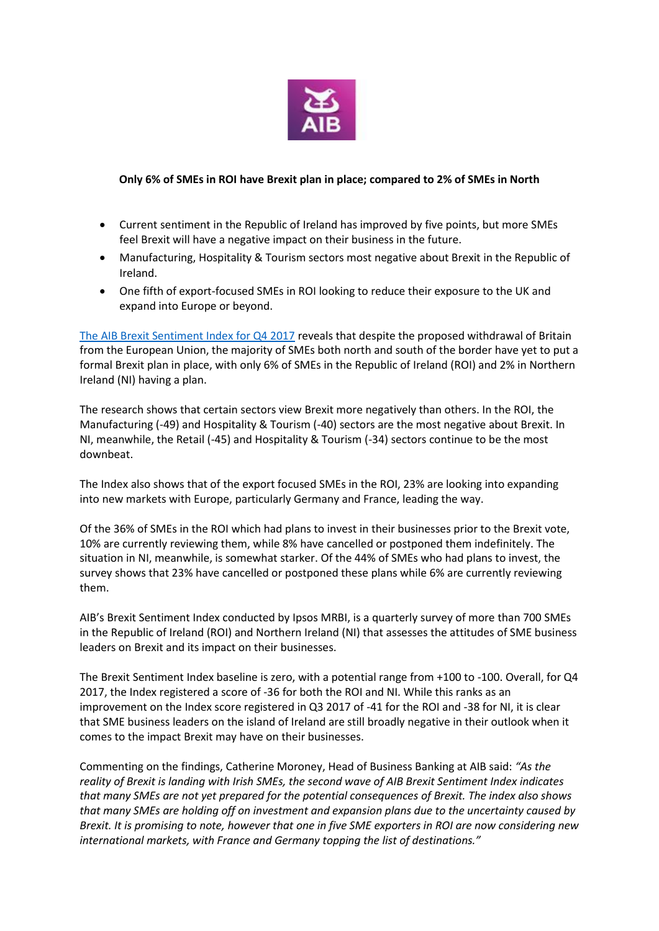

## **Only 6% of SMEs in ROI have Brexit plan in place; compared to 2% of SMEs in North**

- Current sentiment in the Republic of Ireland has improved by five points, but more SMEs feel Brexit will have a negative impact on their business in the future.
- Manufacturing, Hospitality & Tourism sectors most negative about Brexit in the Republic of Ireland.
- One fifth of export-focused SMEs in ROI looking to reduce their exposure to the UK and expand into Europe or beyond.

[The AIB Brexit Sentiment Index for Q4 2017](https://fxcentre.aib.ie/content/dam/aib/fxcentre/docs/brexit-sentiment-index-q4-2017.pdf) reveals that despite the proposed withdrawal of Britain from the European Union, the majority of SMEs both north and south of the border have yet to put a formal Brexit plan in place, with only 6% of SMEs in the Republic of Ireland (ROI) and 2% in Northern Ireland (NI) having a plan.

The research shows that certain sectors view Brexit more negatively than others. In the ROI, the Manufacturing (-49) and Hospitality & Tourism (-40) sectors are the most negative about Brexit. In NI, meanwhile, the Retail (-45) and Hospitality & Tourism (-34) sectors continue to be the most downbeat.

The Index also shows that of the export focused SMEs in the ROI, 23% are looking into expanding into new markets with Europe, particularly Germany and France, leading the way.

Of the 36% of SMEs in the ROI which had plans to invest in their businesses prior to the Brexit vote, 10% are currently reviewing them, while 8% have cancelled or postponed them indefinitely. The situation in NI, meanwhile, is somewhat starker. Of the 44% of SMEs who had plans to invest, the survey shows that 23% have cancelled or postponed these plans while 6% are currently reviewing them.

AIB's Brexit Sentiment Index conducted by Ipsos MRBI, is a quarterly survey of more than 700 SMEs in the Republic of Ireland (ROI) and Northern Ireland (NI) that assesses the attitudes of SME business leaders on Brexit and its impact on their businesses.

The Brexit Sentiment Index baseline is zero, with a potential range from +100 to -100. Overall, for Q4 2017, the Index registered a score of -36 for both the ROI and NI. While this ranks as an improvement on the Index score registered in Q3 2017 of -41 for the ROI and -38 for NI, it is clear that SME business leaders on the island of Ireland are still broadly negative in their outlook when it comes to the impact Brexit may have on their businesses.

Commenting on the findings, Catherine Moroney, Head of Business Banking at AIB said: *"As the reality of Brexit is landing with Irish SMEs, the second wave of AIB Brexit Sentiment Index indicates that many SMEs are not yet prepared for the potential consequences of Brexit. The index also shows that many SMEs are holding off on investment and expansion plans due to the uncertainty caused by Brexit. It is promising to note, however that one in five SME exporters in ROI are now considering new international markets, with France and Germany topping the list of destinations."*